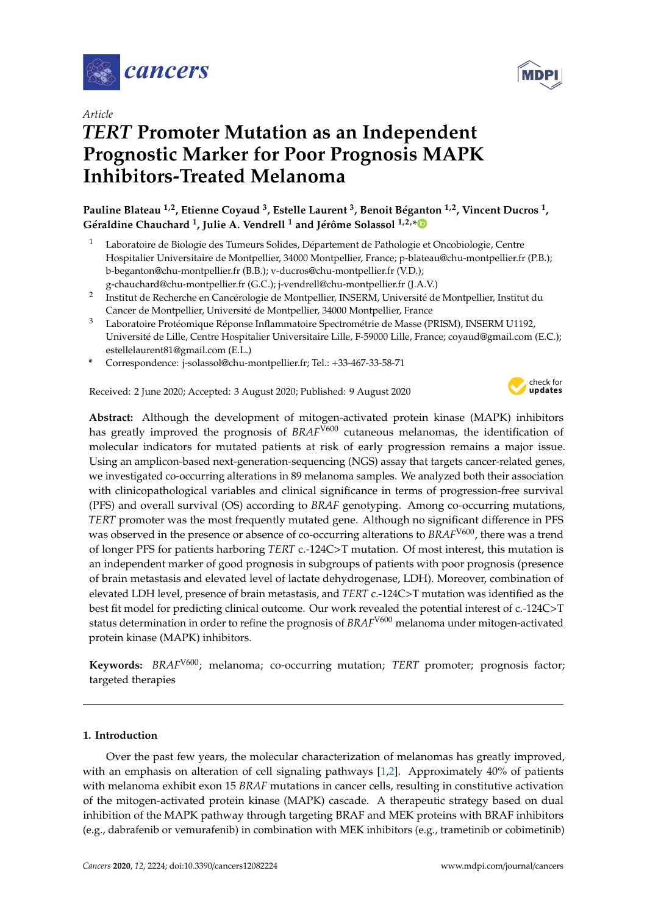

*Article*

# *TERT* **Promoter Mutation as an Independent Prognostic Marker for Poor Prognosis MAPK Inhibitors-Treated Melanoma**

**Pauline Blateau 1,2, Etienne Coyaud <sup>3</sup> , Estelle Laurent <sup>3</sup> , Benoit Béganton 1,2, Vincent Ducros <sup>1</sup> , Géraldine Chauchard <sup>1</sup> , Julie A. Vendrell <sup>1</sup> and Jérôme Solassol 1,2,\***

- <sup>1</sup> Laboratoire de Biologie des Tumeurs Solides, Département de Pathologie et Oncobiologie, Centre Hospitalier Universitaire de Montpellier, 34000 Montpellier, France; p-blateau@chu-montpellier.fr (P.B.); b-beganton@chu-montpellier.fr (B.B.); v-ducros@chu-montpellier.fr (V.D.); g-chauchard@chu-montpellier.fr (G.C.); j-vendrell@chu-montpellier.fr (J.A.V.)
- 2 Institut de Recherche en Cancérologie de Montpellier, INSERM, Université de Montpellier, Institut du Cancer de Montpellier, Université de Montpellier, 34000 Montpellier, France
- <sup>3</sup> Laboratoire Protéomique Réponse Inflammatoire Spectrométrie de Masse (PRISM), INSERM U1192, Université de Lille, Centre Hospitalier Universitaire Lille, F-59000 Lille, France; coyaud@gmail.com (E.C.); estellelaurent81@gmail.com (E.L.)
- **\*** Correspondence: j-solassol@chu-montpellier.fr; Tel.: +33-467-33-58-71

Received: 2 June 2020; Accepted: 3 August 2020; Published: 9 August 2020



**Abstract:** Although the development of mitogen-activated protein kinase (MAPK) inhibitors has greatly improved the prognosis of *BRAF<sup>V600</sup>* cutaneous melanomas, the identification of molecular indicators for mutated patients at risk of early progression remains a major issue. Using an amplicon-based next-generation-sequencing (NGS) assay that targets cancer-related genes, we investigated co-occurring alterations in 89 melanoma samples. We analyzed both their association with clinicopathological variables and clinical significance in terms of progression-free survival (PFS) and overall survival (OS) according to *BRAF* genotyping. Among co-occurring mutations, *TERT* promoter was the most frequently mutated gene. Although no significant difference in PFS was observed in the presence or absence of co-occurring alterations to  $BRAF<sup>V600</sup>$ , there was a trend of longer PFS for patients harboring *TERT* c.-124C>T mutation. Of most interest, this mutation is an independent marker of good prognosis in subgroups of patients with poor prognosis (presence of brain metastasis and elevated level of lactate dehydrogenase, LDH). Moreover, combination of elevated LDH level, presence of brain metastasis, and *TERT* c.-124C>T mutation was identified as the best fit model for predicting clinical outcome. Our work revealed the potential interest of c.-124C>T status determination in order to refine the prognosis of *BRAF*V600 melanoma under mitogen-activated protein kinase (MAPK) inhibitors.

**Keywords:** *BRAF*V600; melanoma; co-occurring mutation; *TERT* promoter; prognosis factor; targeted therapies

## **1. Introduction**

Over the past few years, the molecular characterization of melanomas has greatly improved, with an emphasis on alteration of cell signaling pathways [1,2]. Approximately 40% of patients with melanoma exhibit exon 15 *BRAF* mutations in cancer cells, resulting in constitutive activation of the mitogen-activated protein kinase (MAPK) cascade. A therapeutic strategy based on dual inhibition of the MAPK pathway through targeting BRAF and MEK proteins with BRAF inhibitors (e.g., dabrafenib or vemurafenib) in combination with MEK inhibitors (e.g., trametinib or cobimetinib)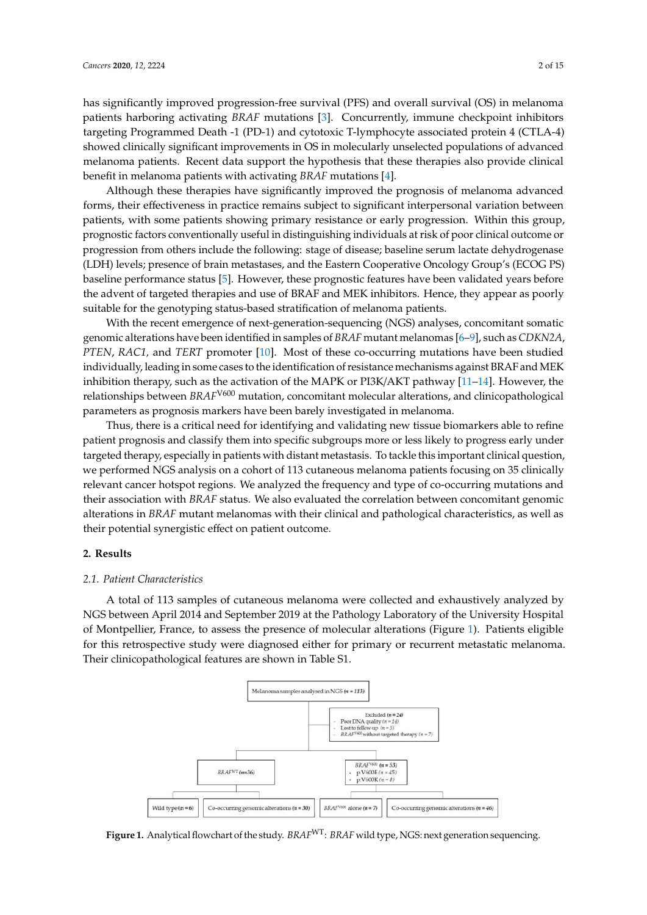has significantly improved progression-free survival (PFS) and overall survival (OS) in melanoma patients harboring activating *BRAF* mutations [3]. Concurrently, immune checkpoint inhibitors targeting Programmed Death -1 (PD-1) and cytotoxic T-lymphocyte associated protein 4 (CTLA-4) showed clinically significant improvements in OS in molecularly unselected populations of advanced melanoma patients. Recent data support the hypothesis that these therapies also provide clinical benefit in melanoma patients with activating *BRAF* mutations [4].

Although these therapies have significantly improved the prognosis of melanoma advanced forms, their effectiveness in practice remains subject to significant interpersonal variation between patients, with some patients showing primary resistance or early progression. Within this group, prognostic factors conventionally useful in distinguishing individuals at risk of poor clinical outcome or progression from others include the following: stage of disease; baseline serum lactate dehydrogenase (LDH) levels; presence of brain metastases, and the Eastern Cooperative Oncology Group's (ECOG PS) baseline performance status [5]. However, these prognostic features have been validated years before the advent of targeted therapies and use of BRAF and MEK inhibitors. Hence, they appear as poorly suitable for the genotyping status-based stratification of melanoma patients.

With the recent emergence of next-generation-sequencing (NGS) analyses, concomitant somatic genomic alterations have been identified in samples of *BRAF* mutant melanomas [6–9], such as *CDKN2A*, *PTEN*, *RAC1,* and *TERT* promoter [10]. Most of these co-occurring mutations have been studied individually, leading in some cases to the identification of resistance mechanisms against BRAF and MEK – inhibition therapy, such as the activation of the MAPK or PI3K/AKT pathway [11–14]. However, the relationships between *BRAF*V600 mutation, concomitant molecular alterations, and clinicopathological parameters as prognosis markers have been barely investigated in melanoma.

Thus, there is a critical need for identifying and validating new tissue biomarkers able to refine patient prognosis and classify them into specific subgroups more or less likely to progress early under targeted therapy, especially in patients with distant metastasis. To tackle this important clinical question, we performed NGS analysis on a cohort of 113 cutaneous melanoma patients focusing on 35 clinically relevant cancer hotspot regions. We analyzed the frequency and type of co-occurring mutations and their association with *BRAF* status. We also evaluated the correlation between concomitant genomic alterations in *BRAF* mutant melanomas with their clinical and pathological characteristics, as well as their potential synergistic effect on patient outcome.

## **2. Results**

#### *2.1. Patient Characteristics*

A total of 113 samples of cutaneous melanoma were collected and exhaustively analyzed by NGS between April 2014 and September 2019 at the Pathology Laboratory of the University Hospital of Montpellier, France, to assess the presence of molecular alterations (Figure 1). Patients eligible for this retrospective study were diagnosed either for primary or recurrent metastatic melanoma. Their clinicopathological features are shown in Table S1.



**Figure 1.** Analytical flowchart of the study. *BRAF*WT: *BRAF* wild type, NGS: next generation sequencing.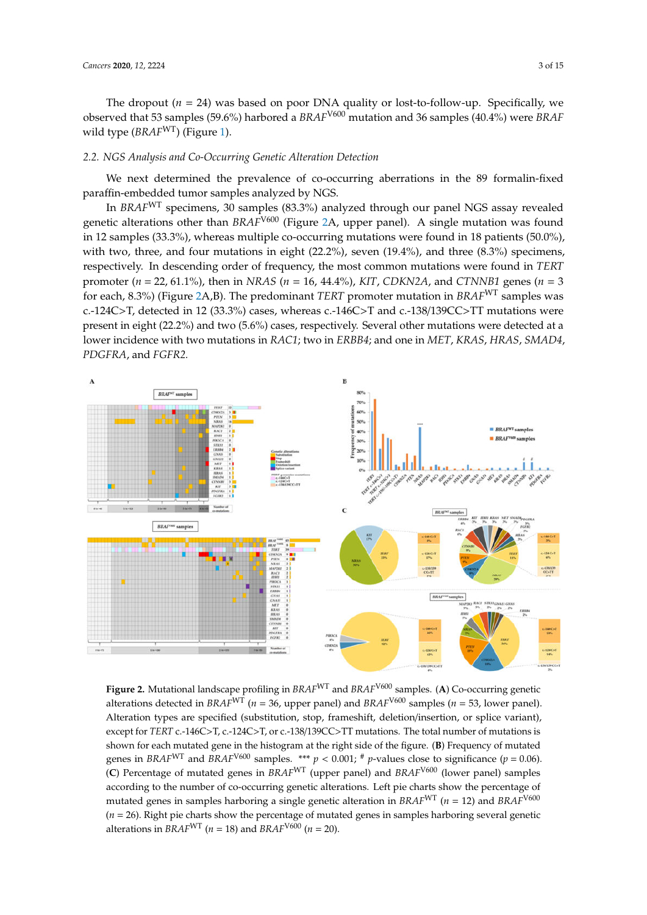The dropout  $(n = 24)$  was based on poor DNA quality or lost-to-follow-up. Specifically, we observed that 53 samples (59.6%) harbored a *BRAF<sup>V600</sup>* mutation and 36 samples (40.4%) were *BRAF* wild type (*BRAF*WT) (Figure 1). (*BRAF*WT) (Figure 1).

# *2.2. NGS Analysis and Co-Occurring Genetic Alteration Detection 2.2. NGS Analysis and Co-Occurring Genetic Alteration Detection*

We next determined the prevalence of co-occurring aberrations in the 89 formalin-fixed paraffin-embedded tumor samples analyzed by NGS.

In *BRAF*WT specimens, 30 samples (83.3%) analyzed through our panel NGS assay revealed In *BRAF*WT specimens, 30 samples (83.3%) analyzed through our panel NGS assay revealed genetic alterations other than *BRAF<sup>V600</sup>* (Figure 2A, upper panel). A single mutation was found in 12 samples (33.3%), whereas multiple co-occurring mutations were found in 18 patients (50.0%), with two, three, and four mutations in eight (22.2%), seven  $(19.4\%)$ , and three  $(8.3\%)$  specimens, respectively. In descending order of frequency, the most common mutations were found in *TERT* respectively. In descending order of frequency, the most common mutations were found in *TERT*  promoter ( $n = 22$ , 61.1%), then in NRAS ( $n = 16$ , 44.4%), KIT, CDKN2A, and CTNNB1 genes ( $n = 3$ for each, 8.3%) (Figure 2A,B). The predominant *TERT* promoter mutation in *BRAF<sup>WT</sup> samples was* c.-124C>T, detected in 12 (33.3%) cases, whereas c.-146C>T and c.-138/139CC>TT mutations were 124C>T, detected in 12 (33.3%) cases, whereas c.-146C>T and c.-138/139CC>TT mutations were present in eight (22.2%) and two (5.6%) cases, respectively. Several other mutations were detected at a present in eight (22.2%) and two (5.6%) cases, respectively. Several other mutations were detected at lower incidence with two mutations in RAC1; two in ERBB4; and one in MET, KRAS, HRAS, SMAD4, *PDGFRA*, and *FGFR2. SMAD4*, *PDGFRA*, and *FGFR2.* 



**Figure 2.** Mutational landscape profiling in BRAF<sup>WT</sup> and BRAF<sup>V600</sup> samples. (**A**) Co-occurring genetic alterations detected in BRAF<sup>WT</sup> (*n* = 36, upper panel) and BRAF<sup>V600</sup> samples (*n* = 53, lower panel). Alteration types are specified (substitution, stop, frameshift, deletion/insertion, or splice variant), Alteration types are specified (substitution, stop, frameshift, deletion/insertion, or splice variant), except for *TERT* c.-146C>T, c.-124C>T, or c.-138/139CC>TT mutations. The total number of mutations except for *TERT* c.-146C>T, c.-124C>T, or c.-138/139CC>TT mutations. The total number of mutations is shown for each mutated gene in the histogram at the right side of the figure. (**B**) Frequency of mutated genes in BRAF<sup>WT</sup> and BRAF<sup>V600</sup> samples. \*\*\*  $p < 0.001$ ; # p-values close to significance (p = 0.06). (C) Percentage of mutated genes in  $BRAF^{WT}$  (upper panel) and  $BRAF^{V600}$  (lower panel) samples according to the number of co-occurring genetic alterations. Left pie charts show the percentage of according to the number of co-occurring genetic alterations. Left pie charts show the percentage of mutated genes in samples harboring a single genetic alteration in  $BRAF<sup>WT</sup>$  ( $n = 12$ ) and  $BRAF<sup>V600</sup>$  $(n = 26)$ . Right pie charts show the percentage of mutated genes in samples harboring several genetic alterations in *BRAF*<sup>WT</sup> ( $n = 18$ ) and *BRAF*<sup>V600</sup> ( $n = 20$ ).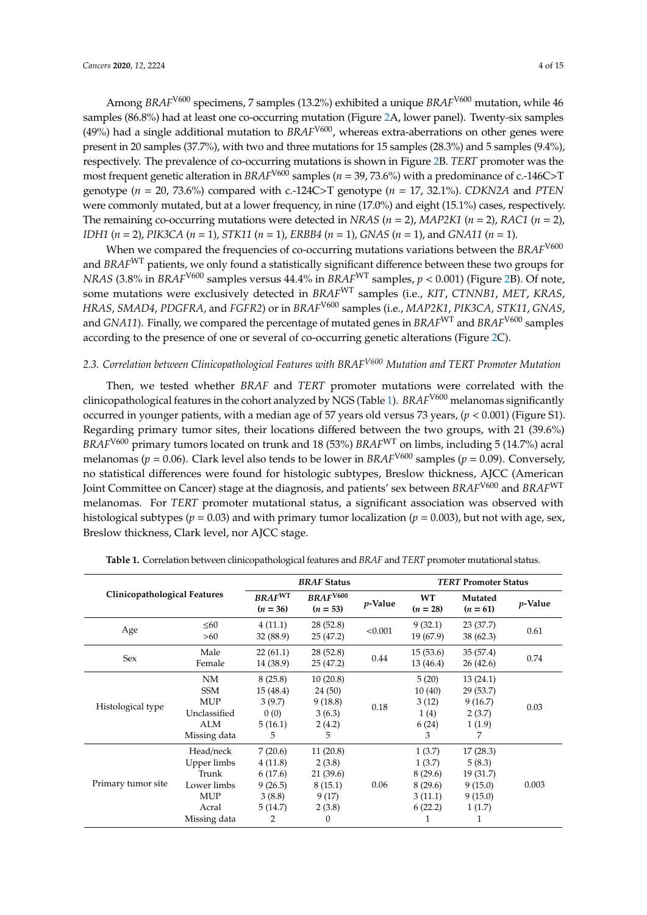Among *BRAF*V600 specimens, 7 samples (13.2%) exhibited a unique *BRAF*V600 mutation, while 46 samples (86.8%) had at least one co-occurring mutation (Figure 2A, lower panel). Twenty-six samples (49%) had a single additional mutation to *BRAF*V600, whereas extra-aberrations on other genes were present in 20 samples (37.7%), with two and three mutations for 15 samples (28.3%) and 5 samples (9.4%), respectively. The prevalence of co-occurring mutations is shown in Figure 2B. *TERT* promoter was the most frequent genetic alteration in *BRAF*V600 samples (*n* = 39, 73.6%) with a predominance of c.-146C>T genotype (*n* = 20, 73.6%) compared with c.-124C>T genotype (*n* = 17, 32.1%). *CDKN2A* and *PTEN* were commonly mutated, but at a lower frequency, in nine (17.0%) and eight (15.1%) cases, respectively. The remaining co-occurring mutations were detected in *NRAS* (*n* = 2), *MAP2K1* (*n* = 2), *RAC1* (*n* = 2), *IDH1* (*n* = 2), *PIK3CA* (*n* = 1), *STK11* (*n* = 1), *ERBB4* (*n* = 1), *GNAS* (*n* = 1), and *GNA11* (*n* = 1).

When we compared the frequencies of co-occurring mutations variations between the *BRAF*<sup>V600</sup> and *BRAF*WT patients, we only found a statistically significant difference between these two groups for *NRAS* (3.8% in *BRAF*V600 samples versus 44.4% in *BRAF*WT samples, *p* < 0.001) (Figure 2B). Of note, some mutations were exclusively detected in *BRAF*WT samples (i.e., *KIT*, *CTNNB1*, *MET*, *KRAS*, *HRAS*, *SMAD4*, *PDGFRA*, and *FGFR2*) or in *BRAF*V600 samples (i.e., *MAP2K1*, *PIK3CA*, *STK11*, *GNAS*, and *GNA11*). Finally, we compared the percentage of mutated genes in *BRAF*WT and *BRAF*V600 samples according to the presence of one or several of co-occurring genetic alterations (Figure 2C).

# *2.3. Correlation between Clinicopathological Features with BRAFV600 Mutation and TERT Promoter Mutation*

Then, we tested whether *BRAF* and *TERT* promoter mutations were correlated with the clinicopathological features in the cohort analyzed by NGS (Table 1). *BRAF*V600 melanomas significantly occurred in younger patients, with a median age of 57 years old versus 73 years, (*p* < 0.001) (Figure S1). Regarding primary tumor sites, their locations differed between the two groups, with 21 (39.6%) *BRAF*V600 primary tumors located on trunk and 18 (53%) *BRAF*WT on limbs, including 5 (14.7%) acral melanomas ( $p = 0.06$ ). Clark level also tends to be lower in *BRAF*<sup>V600</sup> samples ( $p = 0.09$ ). Conversely, no statistical differences were found for histologic subtypes, Breslow thickness, AJCC (American Joint Committee on Cancer) stage at the diagnosis, and patients' sex between *BRAF*V600 and *BRAF*WT melanomas. For *TERT* promoter mutational status, a significant association was observed with histological subtypes ( $p = 0.03$ ) and with primary tumor localization ( $p = 0.003$ ), but not with age, sex, Breslow thickness, Clark level, nor AJCC stage.

|                              |                                                                                         | <b>BRAF</b> Status                                                 |                                                                    | <b>TERT Promoter Status</b> |                                                              |                                                                      |                 |
|------------------------------|-----------------------------------------------------------------------------------------|--------------------------------------------------------------------|--------------------------------------------------------------------|-----------------------------|--------------------------------------------------------------|----------------------------------------------------------------------|-----------------|
| Clinicopathological Features |                                                                                         | BRAF <sup>WT</sup><br>$(n = 36)$                                   | BRAF <sup>V600</sup><br>$(n = 53)$                                 | <i>p</i> -Value             | WT<br>$(n = 28)$                                             | Mutated<br>$(n = 61)$                                                | <i>p</i> -Value |
| Age                          | $\leq 60$<br>>60                                                                        | 4(11.1)<br>32 (88.9)                                               | 28(52.8)<br>25(47.2)                                               | < 0.001                     | 9(32.1)<br>19 (67.9)                                         | 23(37.7)<br>38(62.3)                                                 | 0.61            |
| Sex                          | Male<br>Female                                                                          | 22(61.1)<br>14 (38.9)                                              | 28(52.8)<br>25(47.2)                                               | 0.44                        | 15(53.6)<br>13 (46.4)                                        | 35(57.4)<br>26(42.6)                                                 | 0.74            |
| Histological type            | NM<br><b>SSM</b><br><b>MUP</b><br>Unclassified<br><b>ALM</b><br>Missing data            | 8(25.8)<br>15(48.4)<br>3(9.7)<br>0(0)<br>5(16.1)<br>5              | 10(20.8)<br>24 (50)<br>9(18.8)<br>3(6.3)<br>2(4.2)<br>5            | 0.18                        | 5(20)<br>10(40)<br>3(12)<br>1(4)<br>6(24)<br>3               | 13(24.1)<br>29(53.7)<br>9(16.7)<br>2(3.7)<br>1(1.9)<br>7             | 0.03            |
| Primary tumor site           | Head/neck<br>Upper limbs<br>Trunk<br>Lower limbs<br><b>MUP</b><br>Acral<br>Missing data | 7(20.6)<br>4(11.8)<br>6(17.6)<br>9(26.5)<br>3(8.8)<br>5(14.7)<br>2 | 11(20.8)<br>2(3.8)<br>21 (39.6)<br>8(15.1)<br>9(17)<br>2(3.8)<br>0 | 0.06                        | 1(3.7)<br>1(3.7)<br>8(29.6)<br>8(29.6)<br>3(11.1)<br>6(22.2) | 17(28.3)<br>5(8.3)<br>19 (31.7)<br>9(15.0)<br>9(15.0)<br>1(1.7)<br>1 | 0.003           |

**Table 1.** Correlation between clinicopathological features and *BRAF* and *TERT* promoter mutational status.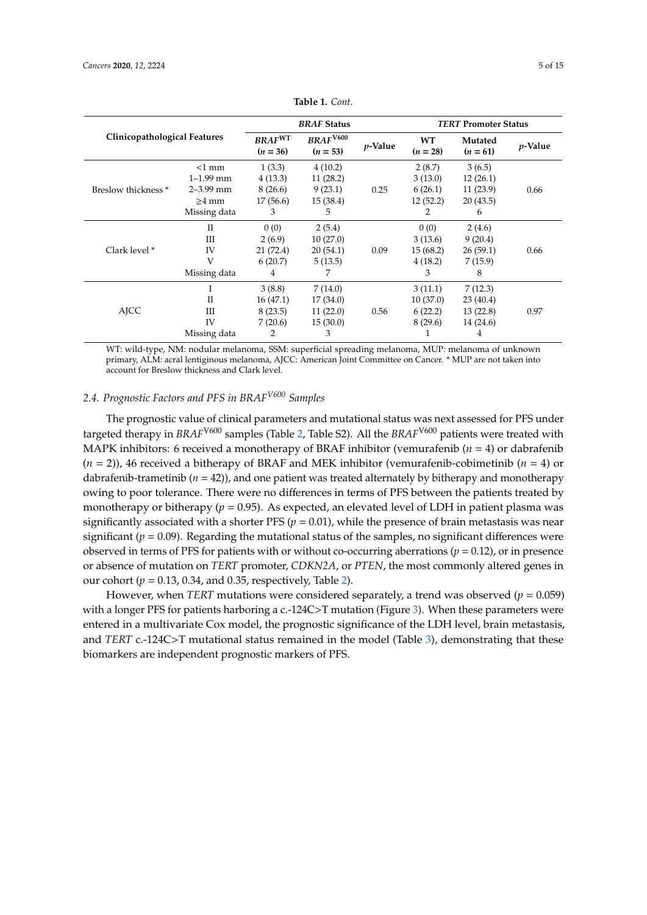|                              |               | <b>BRAF</b> Status          |                                    | <b>TERT Promoter Status</b> |                  |                       |                 |  |
|------------------------------|---------------|-----------------------------|------------------------------------|-----------------------------|------------------|-----------------------|-----------------|--|
| Clinicopathological Features |               | <b>BRAFWT</b><br>$(n = 36)$ | BRAF <sup>V600</sup><br>$(n = 53)$ | $p$ -Value                  | WT<br>$(n = 28)$ | Mutated<br>$(n = 61)$ | <i>p</i> -Value |  |
|                              | $<1$ mm       | 1(3.3)                      | 4(10.2)                            |                             | 2(8.7)           | 3(6.5)                |                 |  |
|                              | $1 - 1.99$ mm | 4(13.3)                     | 11(28.2)                           |                             | 3(13.0)          | 12(26.1)              | 0.66            |  |
| Breslow thickness *          | 2-3.99 mm     | 8(26.6)                     | 9(23.1)                            | 0.25                        | 6(26.1)          | 11(23.9)              |                 |  |
|                              | $\geq$ 4 mm   | 17 (56.6)                   | 15(38.4)                           |                             | 12(52.2)         | 20 (43.5)             |                 |  |
|                              | Missing data  | 3                           | 5                                  |                             | 2                | 6                     |                 |  |
|                              | $_{\rm II}$   | 0(0)                        | 2(5.4)                             |                             | 0(0)             | 2(4.6)                | 0.66            |  |
|                              | Ш             | 2(6.9)                      | 10(27.0)                           |                             | 3(13.6)          | 9(20.4)               |                 |  |
| Clark level *                | IV            | 21(72.4)                    | 20 (54.1)                          | 0.09                        | 15(68.2)         | 26(59.1)              |                 |  |
|                              | V             | 6(20.7)                     | 5(13.5)                            |                             | 4(18.2)          | 7(15.9)               |                 |  |
|                              | Missing data  | 4                           | 7                                  |                             | 3                | 8                     |                 |  |
| <b>AJCC</b>                  |               | 3(8.8)                      | 7(14.0)                            |                             | 3(11.1)          | 7(12.3)               | 0.97            |  |
|                              | $_{\rm II}$   | 16(47.1)                    | 17 (34.0)                          |                             | 10(37.0)         | 23(40.4)              |                 |  |
|                              | Ш             | 8(23.5)                     | 11(22.0)                           | 0.56                        | 6(22.2)          | 13(22.8)              |                 |  |
|                              | <b>IV</b>     | 7(20.6)                     | 15(30.0)                           |                             | 8(29.6)          | 14 (24.6)             |                 |  |
|                              | Missing data  | 2                           | 3                                  |                             | 1                | 4                     |                 |  |

**Table 1.** *Cont.*

WT: wild-type, NM: nodular melanoma, SSM: superficial spreading melanoma, MUP: melanoma of unknown primary, ALM: acral lentiginous melanoma, AJCC: American Joint Committee on Cancer. \* MUP are not taken into account for Breslow thickness and Clark level.

# *2.4. Prognostic Factors and PFS in BRAFV600 Samples*

The prognostic value of clinical parameters and mutational status was next assessed for PFS under targeted therapy in *BRAF*V600 samples (Table 2, Table S2). All the *BRAF*V600 patients were treated with MAPK inhibitors: 6 received a monotherapy of BRAF inhibitor (vemurafenib (*n* = 4) or dabrafenib (*n* = 2)), 46 received a bitherapy of BRAF and MEK inhibitor (vemurafenib-cobimetinib (*n* = 4) or dabrafenib-trametinib  $(n = 42)$ ), and one patient was treated alternately by bitherapy and monotherapy owing to poor tolerance. There were no differences in terms of PFS between the patients treated by monotherapy or bitherapy ( $p = 0.95$ ). As expected, an elevated level of LDH in patient plasma was significantly associated with a shorter PFS  $(p = 0.01)$ , while the presence of brain metastasis was near significant ( $p = 0.09$ ). Regarding the mutational status of the samples, no significant differences were observed in terms of PFS for patients with or without co-occurring aberrations ( $p = 0.12$ ), or in presence or absence of mutation on *TERT* promoter, *CDKN2A*, or *PTEN*, the most commonly altered genes in our cohort (*p* = 0.13, 0.34, and 0.35, respectively, Table 2).

However, when *TERT* mutations were considered separately, a trend was observed ( $p = 0.059$ ) with a longer PFS for patients harboring a c.-124C>T mutation (Figure 3). When these parameters were entered in a multivariate Cox model, the prognostic significance of the LDH level, brain metastasis, and *TERT* c.-124C>T mutational status remained in the model (Table 3), demonstrating that these biomarkers are independent prognostic markers of PFS.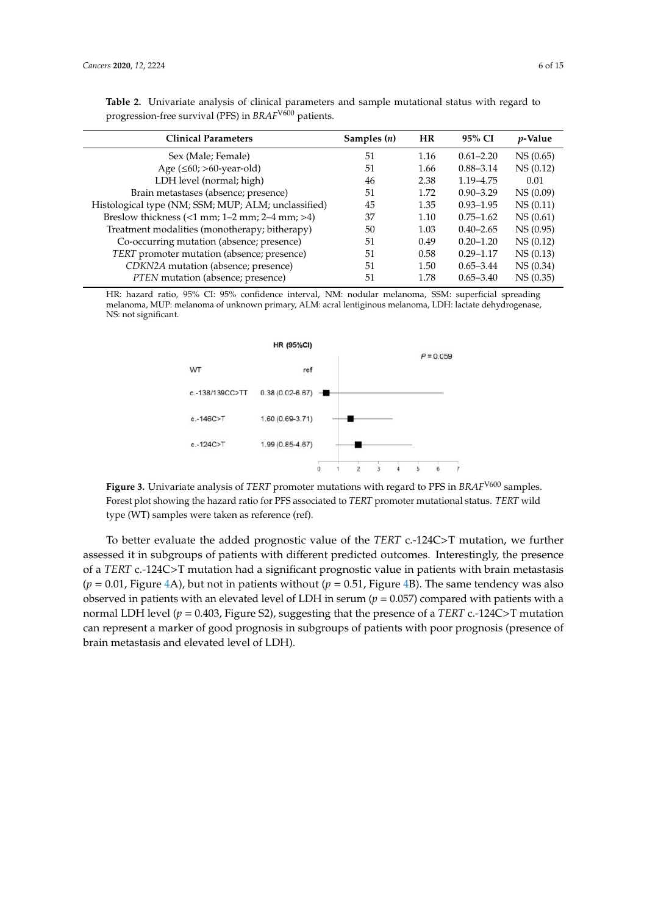| <b>Clinical Parameters</b>                          | Samples $(n)$ | <b>HR</b> | 95% CI        | <i>p</i> -Value |
|-----------------------------------------------------|---------------|-----------|---------------|-----------------|
| Sex (Male; Female)                                  | 51            | 1.16      | $0.61 - 2.20$ | NS(0.65)        |
| Age $(\leq 60; > 60$ -year-old)                     | 51            | 1.66      | $0.88 - 3.14$ | NS(0.12)        |
| LDH level (normal; high)                            | 46            | 2.38      | 1.19–4.75     | 0.01            |
| Brain metastases (absence; presence)                | 51            | 1.72      | $0.90 - 3.29$ | NS(0.09)        |
| Histological type (NM; SSM; MUP; ALM; unclassified) | 45            | 1.35      | $0.93 - 1.95$ | NS(0.11)        |
| Breslow thickness $($ 1 mm; 1–2 mm; 2–4 mm; > 4)    | 37            | 1.10      | $0.75 - 1.62$ | NS(0.61)        |
| Treatment modalities (monotherapy; bitherapy)       | 50            | 1.03      | $0.40 - 2.65$ | NS(0.95)        |
| Co-occurring mutation (absence; presence)           | 51            | 0.49      | $0.20 - 1.20$ | NS(0.12)        |
| TERT promoter mutation (absence; presence)          | 51            | 0.58      | $0.29 - 1.17$ | NS(0.13)        |
| CDKN2A mutation (absence; presence)                 | 51            | 1.50      | $0.65 - 3.44$ | NS(0.34)        |
| PTEN mutation (absence; presence)                   | 51            | 1.78      | $0.65 - 3.40$ | NS(0.35)        |

**Table 2.** Univariate analysis of clinical parameters and sample mutational status with regard to progression-free survival (PFS) in *BRAF*V600 patients.

HR: hazard ratio, 95% CI: 95% confidence interval, NM: nodular melanoma, SSM: superficial spreading melanoma, MUP: melanoma of unknown primary, ALM: acral lentiginous melanoma, LDH: lactate dehydrogenase, NS: not significant.



**Figure 3.** Univariate analysis of *TERT* promoter mutations with regard to PFS in *BRAF*V600 samples. Forest plot showing the hazard ratio for PFS associated to *TERT* promoter mutational status. *TERT* wild type (WT) samples were taken as reference (ref).

To better evaluate the added prognostic value of the *TERT* c.-124C>T mutation, we further assessed it in subgroups of patients with different predicted outcomes. Interestingly, the presence of a *TERT* c.-124C>T mutation had a significant prognostic value in patients with brain metastasis  $(p = 0.01,$  Figure 4A), but not in patients without  $(p = 0.51,$  Figure 4B). The same tendency was also observed in patients with an elevated level of LDH in serum (*p* = 0.057) compared with patients with a normal LDH level (*p* = 0.403, Figure S2), suggesting that the presence of a *TERT* c.-124C>T mutation can represent a marker of good prognosis in subgroups of patients with poor prognosis (presence of brain metastasis and elevated level of LDH).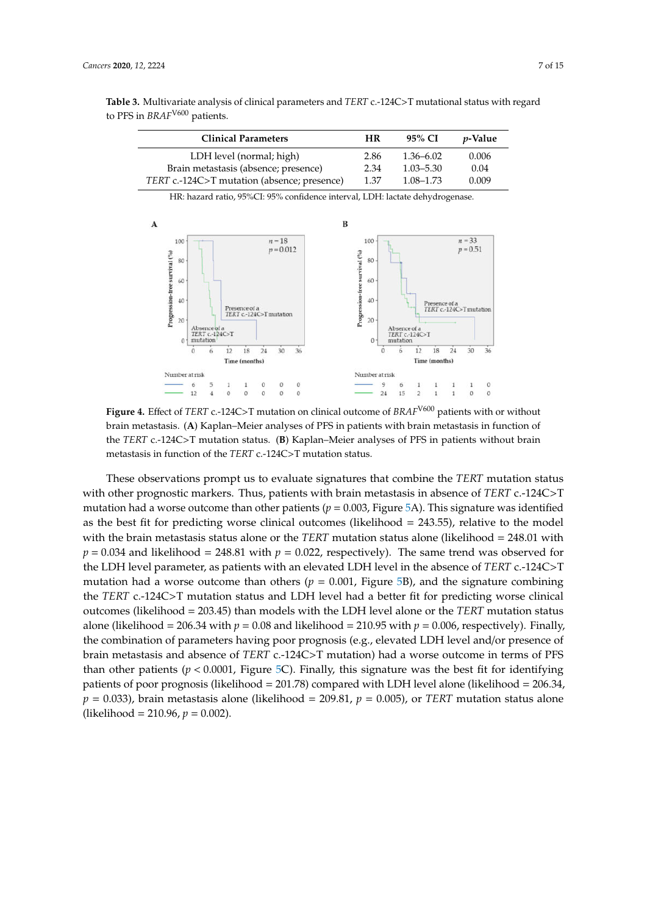| <b>Clinical Parameters</b>                                                    |                                             |                     |                                          |        |        | <b>HR</b> |   |                                     | 95% CI      |                                  |               |                         | <i>p</i> -Value |                        |          |
|-------------------------------------------------------------------------------|---------------------------------------------|---------------------|------------------------------------------|--------|--------|-----------|---|-------------------------------------|-------------|----------------------------------|---------------|-------------------------|-----------------|------------------------|----------|
|                                                                               | LDH level (normal; high)                    |                     |                                          |        |        |           |   | 2.86                                |             |                                  |               | $1.36 - 6.02$           |                 |                        | 0.006    |
|                                                                               | Brain metastasis (absence; presence)        |                     |                                          |        |        |           |   | 2.34                                |             |                                  |               | $1.03 - 5.30$           |                 |                        | 0.04     |
|                                                                               | TERT c.-124C>T mutation (absence; presence) |                     |                                          |        |        |           |   | 1.37                                |             |                                  |               | 1.08–1.73               |                 |                        | 0.009    |
| HR: hazard ratio, 95%CI: 95% confidence interval, LDH: lactate dehydrogenase. |                                             |                     |                                          |        |        |           |   |                                     |             |                                  |               |                         |                 |                        |          |
|                                                                               |                                             |                     |                                          |        |        |           |   |                                     |             |                                  |               |                         |                 |                        |          |
| A                                                                             |                                             |                     |                                          |        |        |           | В |                                     |             |                                  |               |                         |                 |                        |          |
| 100                                                                           | $n = 18$                                    |                     |                                          |        |        |           |   | 100                                 |             |                                  |               |                         |                 | $n = 33$<br>$p = 0.51$ |          |
| 80                                                                            | $p = 0.012$                                 |                     |                                          |        |        |           |   | 80                                  |             |                                  |               |                         |                 |                        |          |
|                                                                               |                                             |                     |                                          |        |        |           |   |                                     |             |                                  |               |                         |                 |                        |          |
| 60                                                                            |                                             |                     |                                          |        |        |           |   | 60                                  |             |                                  |               |                         |                 |                        |          |
| Progression-free survival (%)<br>40                                           |                                             |                     |                                          |        |        |           |   | Progression-free survival (%)<br>40 |             |                                  |               | Presence of a           |                 |                        |          |
| 20                                                                            |                                             |                     | Presence of a<br>TERT c.-124C>T mutation |        |        |           |   | 20                                  |             |                                  |               | TERT c.-124C>T mutation |                 |                        |          |
|                                                                               | Absence of a                                | TERT c .- 124C>T    |                                          |        |        |           |   |                                     |             | Absence of a<br>TERT c .- 124C>T |               |                         |                 |                        |          |
| $\Omega$                                                                      | mutation                                    |                     |                                          |        |        |           |   | Ω                                   |             | mutation                         |               |                         |                 |                        |          |
|                                                                               | 6<br>$\Omega$                               | 12                  | 18                                       | 24     | 30     | 36        |   |                                     | $\Omega$    | 6                                | 12            | 18                      | 24              | 30                     | 36       |
| Time (months)                                                                 |                                             |                     |                                          |        |        |           |   |                                     |             |                                  | Time (months) |                         |                 |                        |          |
|                                                                               | Number at risk                              |                     |                                          |        |        |           |   | Number at risk                      |             |                                  |               |                         |                 |                        |          |
|                                                                               | 4.25                                        | $\lambda$<br>$\sim$ | $\sim$                                   | $\sim$ | $\sim$ | O         |   |                                     | <b>DOM:</b> | 4 <sup>o</sup>                   | $\mathcal{L}$ | $\sim$                  | $-4$            | $\sim$                 | $\Omega$ |

**Table 3.** Multivariate analysis of clinical parameters and *TERT* c.-124C>T mutational status with regard to PFS in *BRAF*V600 patients.

– brain metastasis. (**A**) Kaplan–Meier analyses of PFS in patients with brain metastasis in function of – the *TERT* c.-124C>T mutation status. (**B**) Kaplan–Meier analyses of PFS in patients without brain **Figure 4.** Effect of *TERT* c.-124C>T mutation on clinical outcome of *BRAF*V600 patients with or without metastasis in function of the *TERT* c.-124C>T mutation status.

These observations prompt us to evaluate signatures that combine the *TERT* mutation status with other prognostic markers. Thus, patients with brain metastasis in absence of *TERT* c.-124C>T mutation had a worse outcome than other patients ( $p = 0.003$ , Figure 5A). This signature was identified as the best fit for predicting worse clinical outcomes (likelihood  $= 243.55$ ), relative to the model with the brain metastasis status alone or the *TERT* mutation status alone (likelihood = 248.01 with  $p = 0.034$  and likelihood = 248.81 with  $p = 0.022$ , respectively). The same trend was observed for the LDH level parameter, as patients with an elevated LDH level in the absence of *TERT* c.-124C>T mutation had a worse outcome than others ( $p = 0.001$ , Figure 5B), and the signature combining the *TERT* c.-124C>T mutation status and LDH level had a better fit for predicting worse clinical outcomes (likelihood = 203.45) than models with the LDH level alone or the *TERT* mutation status alone (likelihood = 206.34 with  $p = 0.08$  and likelihood = 210.95 with  $p = 0.006$ , respectively). Finally, the combination of parameters having poor prognosis (e.g., elevated LDH level and/or presence of brain metastasis and absence of *TERT* c.-124C>T mutation) had a worse outcome in terms of PFS than other patients ( $p < 0.0001$ , Figure 5C). Finally, this signature was the best fit for identifying patients of poor prognosis (likelihood =  $201.78$ ) compared with LDH level alone (likelihood =  $206.34$ ,  $p = 0.033$ ), brain metastasis alone (likelihood = 209.81,  $p = 0.005$ ), or *TERT* mutation status alone (likelihood = 210.96,  $p = 0.002$ ).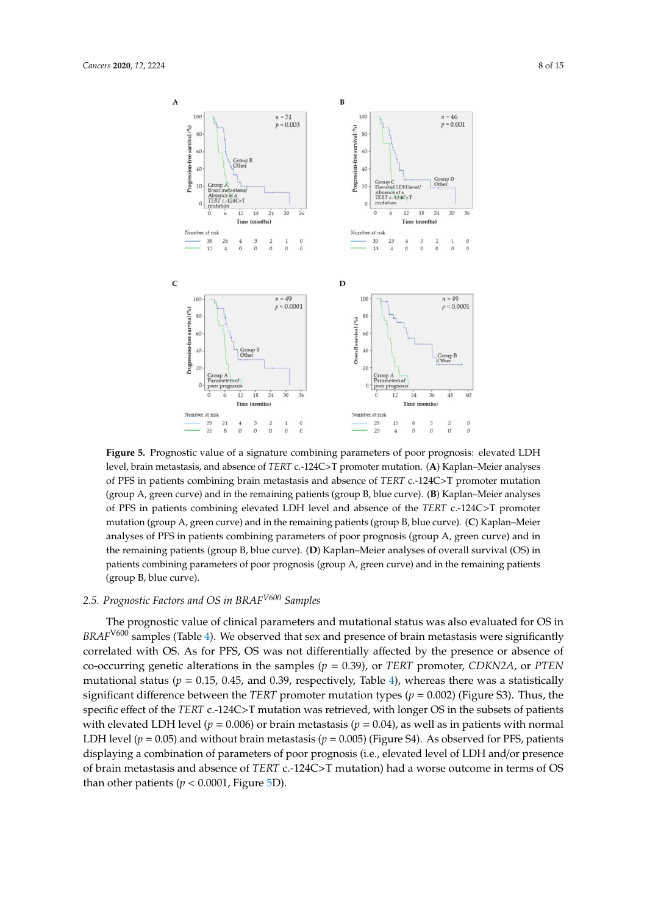

– level, brain metastasis, and absence of *TERT* c.-124C>T promoter mutation. (**A**) Kaplan–Meier analyses – (group A, green curve) and in the remaining patients (group B, blue curve). (**B**) Kaplan–Meier analyses – analyses of PFS in patients combining parameters of poor prognosis (group A, green curve) and in – the remaining patients (group B, blue curve). (**D**) Kaplan–Meier analyses of overall survival (OS) in **Figure 5.** Prognostic value of a signature combining parameters of poor prognosis: elevated LDH of PFS in patients combining brain metastasis and absence of *TERT* c.-124C>T promoter mutation of PFS in patients combining elevated LDH level and absence of the *TERT* c.-124C>T promoter mutation (group A, green curve) and in the remaining patients (group B, blue curve). (**C**) Kaplan–Meier patients combining parameters of poor prognosis (group A, green curve) and in the remaining patients (group B, blue curve).

## *2.5. Prognostic Factors and OS in BRAFV600 Samples*

The prognostic value of clinical parameters and mutational status was also evaluated for OS in *BRAF*V600 samples (Table 4). We observed that sex and presence of brain metastasis were significantly correlated with OS. As for PFS, OS was not differentially affected by the presence or absence of co-occurring genetic alterations in the samples (*p* = 0.39), or *TERT* promoter, *CDKN2A*, or *PTEN* mutational status ( $p = 0.15$ , 0.45, and 0.39, respectively, Table 4), whereas there was a statistically significant difference between the *TERT* promoter mutation types (*p* = 0.002) (Figure S3). Thus, the specific effect of the *TERT* c.-124C>T mutation was retrieved, with longer OS in the subsets of patients with elevated LDH level ( $p = 0.006$ ) or brain metastasis ( $p = 0.04$ ), as well as in patients with normal LDH level ( $p = 0.05$ ) and without brain metastasis ( $p = 0.005$ ) (Figure S4). As observed for PFS, patients displaying a combination of parameters of poor prognosis (i.e., elevated level of LDH and/or presence of brain metastasis and absence of *TERT* c.-124C>T mutation) had a worse outcome in terms of OS than other patients ( $p < 0.0001$ , Figure 5D).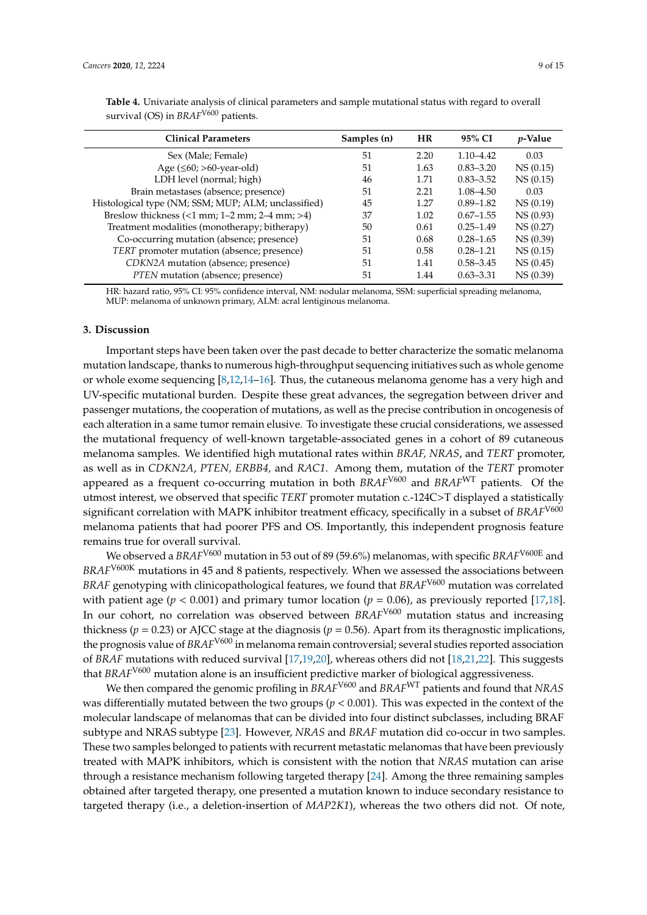| <b>Clinical Parameters</b>                             | Samples (n) | <b>HR</b> | 95% CI        | <i>p</i> -Value |
|--------------------------------------------------------|-------------|-----------|---------------|-----------------|
| Sex (Male; Female)                                     | 51          | 2.20      | $1.10 - 4.42$ | 0.03            |
| Age $( \leq 60; > 60$ -year-old)                       | 51          | 1.63      | $0.83 - 3.20$ | NS(0.15)        |
| LDH level (normal; high)                               | 46          | 1.71      | $0.83 - 3.52$ | NS(0.15)        |
| Brain metastases (absence; presence)                   | 51          | 2.21      | $1.08 - 4.50$ | 0.03            |
| Histological type (NM; SSM; MUP; ALM; unclassified)    | 45          | 1.27      | $0.89 - 1.82$ | NS(0.19)        |
| Breslow thickness $(<1$ mm; $1-2$ mm; $2-4$ mm; $>4$ ) | 37          | 1.02      | $0.67 - 1.55$ | NS(0.93)        |
| Treatment modalities (monotherapy; bitherapy)          | 50          | 0.61      | $0.25 - 1.49$ | NS(0.27)        |
| Co-occurring mutation (absence; presence)              | 51          | 0.68      | $0.28 - 1.65$ | NS(0.39)        |
| TERT promoter mutation (absence; presence)             | 51          | 0.58      | $0.28 - 1.21$ | NS(0.15)        |
| CDKN2A mutation (absence; presence)                    | 51          | 1.41      | $0.58 - 3.45$ | NS(0.45)        |
| PTEN mutation (absence; presence)                      | 51          | 1.44      | $0.63 - 3.31$ | NS(0.39)        |
|                                                        |             |           |               |                 |

**Table 4.** Univariate analysis of clinical parameters and sample mutational status with regard to overall survival (OS) in *BRAF*V600 patients.

HR: hazard ratio, 95% CI: 95% confidence interval, NM: nodular melanoma, SSM: superficial spreading melanoma, MUP: melanoma of unknown primary, ALM: acral lentiginous melanoma.

#### **3. Discussion**

Important steps have been taken over the past decade to better characterize the somatic melanoma mutation landscape, thanks to numerous high-throughput sequencing initiatives such as whole genome or whole exome sequencing  $[8,12,14-16]$ . Thus, the cutaneous melanoma genome has a very high and UV-specific mutational burden. Despite these great advances, the segregation between driver and passenger mutations, the cooperation of mutations, as well as the precise contribution in oncogenesis of each alteration in a same tumor remain elusive. To investigate these crucial considerations, we assessed the mutational frequency of well-known targetable-associated genes in a cohort of 89 cutaneous melanoma samples. We identified high mutational rates within *BRAF, NRAS*, and *TERT* promoter, as well as in *CDKN2A*, *PTEN, ERBB4,* and *RAC1*. Among them, mutation of the *TERT* promoter appeared as a frequent co-occurring mutation in both  $BRAF<sup>V600</sup>$  and  $BRAF<sup>WT</sup>$  patients. Of the utmost interest, we observed that specific *TERT* promoter mutation c.-124C>T displayed a statistically significant correlation with MAPK inhibitor treatment efficacy, specifically in a subset of *BRAF*V600 melanoma patients that had poorer PFS and OS. Importantly, this independent prognosis feature remains true for overall survival.

We observed a *BRAF*V600 mutation in 53 out of 89 (59.6%) melanomas, with specific *BRAF*V600E and *BRAF*V600K mutations in 45 and 8 patients, respectively. When we assessed the associations between *BRAF* genotyping with clinicopathological features, we found that *BRAF*V600 mutation was correlated with patient age ( $p < 0.001$ ) and primary tumor location ( $p = 0.06$ ), as previously reported [17,18]. In our cohort, no correlation was observed between *BRAF*V600 mutation status and increasing thickness ( $p = 0.23$ ) or AJCC stage at the diagnosis ( $p = 0.56$ ). Apart from its theragnostic implications, the prognosis value of *BRAF*V600 in melanoma remain controversial; several studies reported association of *BRAF* mutations with reduced survival [17,19,20], whereas others did not [18,21,22]. This suggests that *BRAF*V600 mutation alone is an insufficient predictive marker of biological aggressiveness.

We then compared the genomic profiling in *BRAF*V600 and *BRAF*WT patients and found that *NRAS* was differentially mutated between the two groups (*p* < 0.001). This was expected in the context of the molecular landscape of melanomas that can be divided into four distinct subclasses, including BRAF subtype and NRAS subtype [23]. However, *NRAS* and *BRAF* mutation did co-occur in two samples. These two samples belonged to patients with recurrent metastatic melanomas that have been previously treated with MAPK inhibitors, which is consistent with the notion that *NRAS* mutation can arise through a resistance mechanism following targeted therapy [24]. Among the three remaining samples obtained after targeted therapy, one presented a mutation known to induce secondary resistance to targeted therapy (i.e., a deletion-insertion of *MAP2K1*), whereas the two others did not. Of note,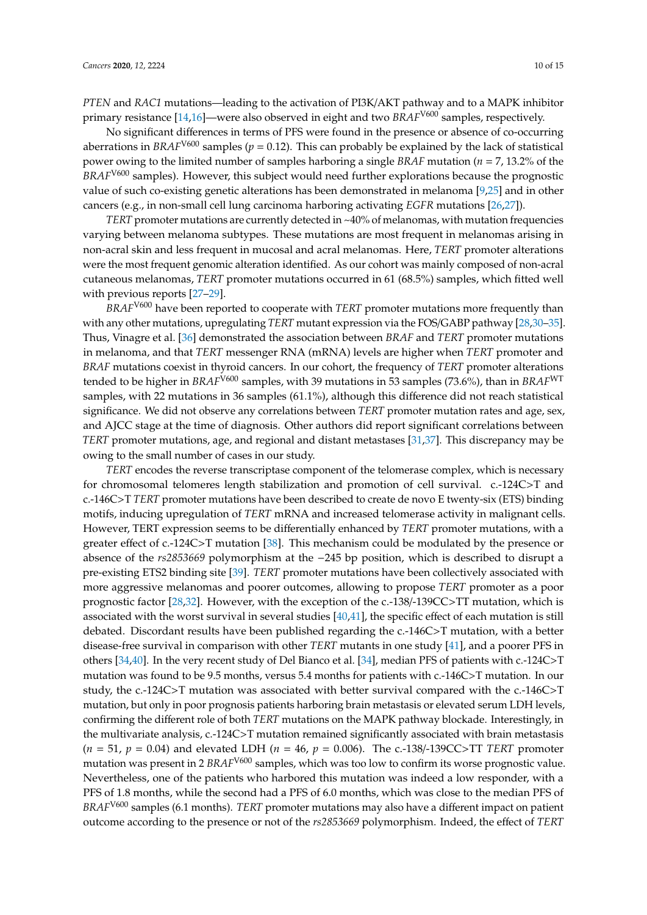*PTEN* and *RAC1* mutations—leading to the activation of PI3K/AKT pathway and to a MAPK inhibitor primary resistance [14,16]—were also observed in eight and two *BRAF*V600 samples, respectively.

No significant differences in terms of PFS were found in the presence or absence of co-occurring aberrations in *BRAF*<sup>V600</sup> samples ( $p = 0.12$ ). This can probably be explained by the lack of statistical power owing to the limited number of samples harboring a single *BRAF* mutation (*n* = 7, 13.2% of the *BRAF*V600 samples). However, this subject would need further explorations because the prognostic value of such co-existing genetic alterations has been demonstrated in melanoma [9,25] and in other cancers (e.g., in non-small cell lung carcinoma harboring activating *EGFR* mutations [26,27]).

*TERT* promoter mutations are currently detected in ~40% of melanomas, with mutation frequencies varying between melanoma subtypes. These mutations are most frequent in melanomas arising in non-acral skin and less frequent in mucosal and acral melanomas. Here, *TERT* promoter alterations were the most frequent genomic alteration identified. As our cohort was mainly composed of non-acral cutaneous melanomas, *TERT* promoter mutations occurred in 61 (68.5%) samples, which fitted well with previous reports [27–29].

*BRAF*V600 have been reported to cooperate with *TERT* promoter mutations more frequently than with any other mutations, upregulating *TERT* mutant expression via the FOS/GABP pathway [28,30–35]. Thus, Vinagre et al. [36] demonstrated the association between *BRAF* and *TERT* promoter mutations in melanoma, and that *TERT* messenger RNA (mRNA) levels are higher when *TERT* promoter and *BRAF* mutations coexist in thyroid cancers. In our cohort, the frequency of *TERT* promoter alterations tended to be higher in *BRAF*V600 samples, with 39 mutations in 53 samples (73.6%), than in *BRAF*WT samples, with 22 mutations in 36 samples (61.1%), although this difference did not reach statistical significance. We did not observe any correlations between *TERT* promoter mutation rates and age, sex, and AJCC stage at the time of diagnosis. Other authors did report significant correlations between *TERT* promoter mutations, age, and regional and distant metastases [31,37]. This discrepancy may be owing to the small number of cases in our study.

*TERT* encodes the reverse transcriptase component of the telomerase complex, which is necessary for chromosomal telomeres length stabilization and promotion of cell survival. c.-124C>T and c.-146C>T *TERT* promoter mutations have been described to create de novo E twenty-six (ETS) binding motifs, inducing upregulation of *TERT* mRNA and increased telomerase activity in malignant cells. However, TERT expression seems to be differentially enhanced by *TERT* promoter mutations, with a greater effect of c.-124C>T mutation [38]. This mechanism could be modulated by the presence or absence of the *rs2853669* polymorphism at the −245 bp position, which is described to disrupt a pre-existing ETS2 binding site [39]. *TERT* promoter mutations have been collectively associated with more aggressive melanomas and poorer outcomes, allowing to propose *TERT* promoter as a poor prognostic factor [28,32]. However, with the exception of the c.-138/-139CC>TT mutation, which is associated with the worst survival in several studies [40,41], the specific effect of each mutation is still debated. Discordant results have been published regarding the c.-146C>T mutation, with a better disease-free survival in comparison with other *TERT* mutants in one study [41], and a poorer PFS in others [34,40]. In the very recent study of Del Bianco et al. [34], median PFS of patients with c.-124C>T mutation was found to be 9.5 months, versus 5.4 months for patients with c.-146C>T mutation. In our study, the c.-124C>T mutation was associated with better survival compared with the c.-146C>T mutation, but only in poor prognosis patients harboring brain metastasis or elevated serum LDH levels, confirming the different role of both *TERT* mutations on the MAPK pathway blockade. Interestingly, in the multivariate analysis, c.-124C>T mutation remained significantly associated with brain metastasis (*n* = 51, *p* = 0.04) and elevated LDH (*n* = 46, *p* = 0.006). The c.-138/-139CC>TT *TERT* promoter mutation was present in 2 *BRAF*V600 samples, which was too low to confirm its worse prognostic value. Nevertheless, one of the patients who harbored this mutation was indeed a low responder, with a PFS of 1.8 months, while the second had a PFS of 6.0 months, which was close to the median PFS of *BRAF*V600 samples (6.1 months). *TERT* promoter mutations may also have a different impact on patient outcome according to the presence or not of the *rs2853669* polymorphism. Indeed, the effect of *TERT*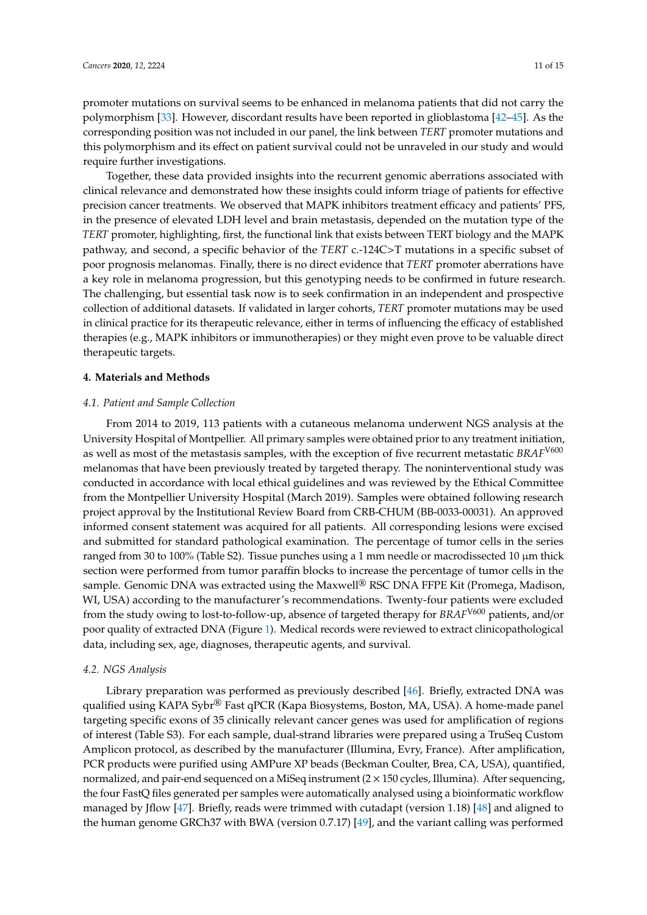promoter mutations on survival seems to be enhanced in melanoma patients that did not carry the polymorphism [33]. However, discordant results have been reported in glioblastoma [42–45]. As the corresponding position was not included in our panel, the link between *TERT* promoter mutations and this polymorphism and its effect on patient survival could not be unraveled in our study and would require further investigations.

Together, these data provided insights into the recurrent genomic aberrations associated with clinical relevance and demonstrated how these insights could inform triage of patients for effective precision cancer treatments. We observed that MAPK inhibitors treatment efficacy and patients' PFS, in the presence of elevated LDH level and brain metastasis, depended on the mutation type of the *TERT* promoter, highlighting, first, the functional link that exists between TERT biology and the MAPK pathway, and second, a specific behavior of the *TERT* c.-124C>T mutations in a specific subset of poor prognosis melanomas. Finally, there is no direct evidence that *TERT* promoter aberrations have a key role in melanoma progression, but this genotyping needs to be confirmed in future research. The challenging, but essential task now is to seek confirmation in an independent and prospective collection of additional datasets. If validated in larger cohorts, *TERT* promoter mutations may be used in clinical practice for its therapeutic relevance, either in terms of influencing the efficacy of established therapies (e.g., MAPK inhibitors or immunotherapies) or they might even prove to be valuable direct therapeutic targets.

#### **4. Materials and Methods**

#### *4.1. Patient and Sample Collection*

From 2014 to 2019, 113 patients with a cutaneous melanoma underwent NGS analysis at the University Hospital of Montpellier. All primary samples were obtained prior to any treatment initiation, as well as most of the metastasis samples, with the exception of five recurrent metastatic *BRAF*V600 melanomas that have been previously treated by targeted therapy. The noninterventional study was conducted in accordance with local ethical guidelines and was reviewed by the Ethical Committee from the Montpellier University Hospital (March 2019). Samples were obtained following research project approval by the Institutional Review Board from CRB-CHUM (BB-0033-00031). An approved informed consent statement was acquired for all patients. All corresponding lesions were excised and submitted for standard pathological examination. The percentage of tumor cells in the series ranged from 30 to 100% (Table S2). Tissue punches using a 1 mm needle or macrodissected 10  $\mu$ m thick section were performed from tumor paraffin blocks to increase the percentage of tumor cells in the sample. Genomic DNA was extracted using the Maxwell<sup>®</sup> RSC DNA FFPE Kit (Promega, Madison, WI, USA) according to the manufacturer's recommendations. Twenty-four patients were excluded from the study owing to lost-to-follow-up, absence of targeted therapy for *BRAF*V600 patients, and/or poor quality of extracted DNA (Figure 1). Medical records were reviewed to extract clinicopathological data, including sex, age, diagnoses, therapeutic agents, and survival.

#### *4.2. NGS Analysis*

Library preparation was performed as previously described [46]. Briefly, extracted DNA was qualified using KAPA Sybr® Fast qPCR (Kapa Biosystems, Boston, MA, USA). A home-made panel targeting specific exons of 35 clinically relevant cancer genes was used for amplification of regions of interest (Table S3). For each sample, dual-strand libraries were prepared using a TruSeq Custom Amplicon protocol, as described by the manufacturer (Illumina, Evry, France). After amplification, PCR products were purified using AMPure XP beads (Beckman Coulter, Brea, CA, USA), quantified, normalized, and pair-end sequenced on a MiSeq instrument  $(2 \times 150$  cycles, Illumina). After sequencing, the four FastQ files generated per samples were automatically analysed using a bioinformatic workflow managed by Jflow [47]. Briefly, reads were trimmed with cutadapt (version 1.18) [48] and aligned to the human genome GRCh37 with BWA (version 0.7.17) [49], and the variant calling was performed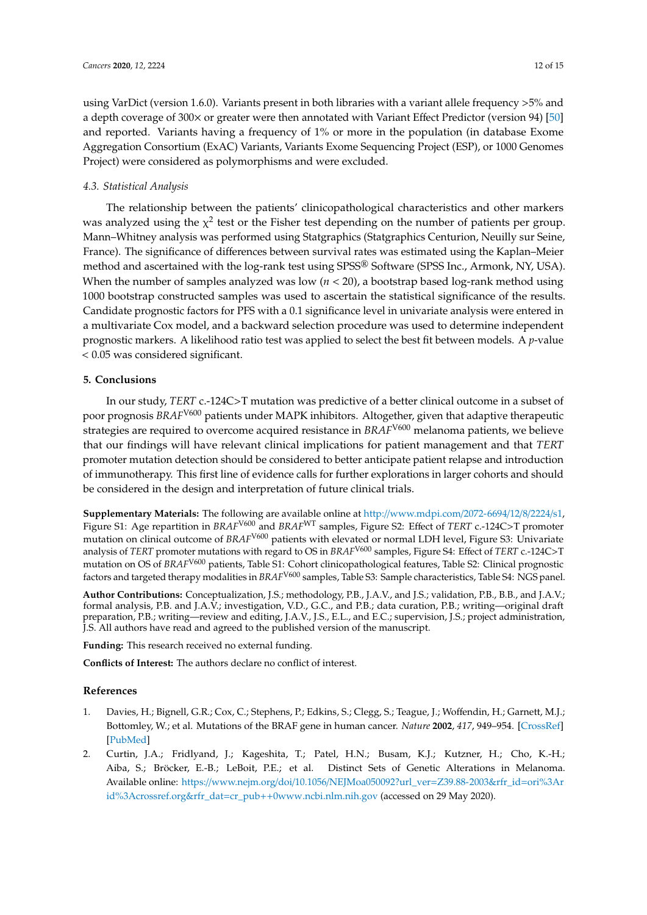using VarDict (version 1.6.0). Variants present in both libraries with a variant allele frequency >5% and a depth coverage of 300× or greater were then annotated with Variant Effect Predictor (version 94) [50] and reported. Variants having a frequency of 1% or more in the population (in database Exome Aggregation Consortium (ExAC) Variants, Variants Exome Sequencing Project (ESP), or 1000 Genomes Project) were considered as polymorphisms and were excluded.

## *4.3. Statistical Analysis*

The relationship between the patients' clinicopathological characteristics and other markers was analyzed using the  $\chi^2$  test or the Fisher test depending on the number of patients per group. Mann–Whitney analysis was performed using Statgraphics (Statgraphics Centurion, Neuilly sur Seine, France). The significance of differences between survival rates was estimated using the Kaplan–Meier method and ascertained with the log-rank test using SPSS® Software (SPSS Inc., Armonk, NY, USA). When the number of samples analyzed was low  $(n < 20)$ , a bootstrap based log-rank method using 1000 bootstrap constructed samples was used to ascertain the statistical significance of the results. Candidate prognostic factors for PFS with a 0.1 significance level in univariate analysis were entered in a multivariate Cox model, and a backward selection procedure was used to determine independent prognostic markers. A likelihood ratio test was applied to select the best fit between models. A *p*-value < 0.05 was considered significant.

#### **5. Conclusions**

In our study, *TERT* c.-124C>T mutation was predictive of a better clinical outcome in a subset of poor prognosis *BRAF*V600 patients under MAPK inhibitors. Altogether, given that adaptive therapeutic strategies are required to overcome acquired resistance in *BRAF*V600 melanoma patients, we believe that our findings will have relevant clinical implications for patient management and that *TERT* promoter mutation detection should be considered to better anticipate patient relapse and introduction of immunotherapy. This first line of evidence calls for further explorations in larger cohorts and should be considered in the design and interpretation of future clinical trials.

**Supplementary Materials:** The following are available online at http://www.mdpi.com/2072-6694/12/8/2224/s1, Figure S1: Age repartition in *BRAF*V600 and *BRAF*WT samples, Figure S2: Effect of *TERT* c.-124C>T promoter mutation on clinical outcome of *BRAF*V600 patients with elevated or normal LDH level, Figure S3: Univariate analysis of *TERT* promoter mutations with regard to OS in *BRAF*V600 samples, Figure S4: Effect of *TERT* c.-124C>T mutation on OS of *BRAF*V600 patients, Table S1: Cohort clinicopathological features, Table S2: Clinical prognostic factors and targeted therapy modalities in *BRAF*V600 samples, Table S3: Sample characteristics, Table S4: NGS panel.

**Author Contributions:** Conceptualization, J.S.; methodology, P.B., J.A.V., and J.S.; validation, P.B., B.B., and J.A.V.; formal analysis, P.B. and J.A.V.; investigation, V.D., G.C., and P.B.; data curation, P.B.; writing—original draft preparation, P.B.; writing—review and editing, J.A.V., J.S., E.L., and E.C.; supervision, J.S.; project administration, J.S. All authors have read and agreed to the published version of the manuscript.

**Funding:** This research received no external funding.

**Conflicts of Interest:** The authors declare no conflict of interest.

## **References**

- 1. Davies, H.; Bignell, G.R.; Cox, C.; Stephens, P.; Edkins, S.; Clegg, S.; Teague, J.; Woffendin, H.; Garnett, M.J.; Bottomley, W.; et al. Mutations of the BRAF gene in human cancer. *Nature* **2002**, *417*, 949–954. [CrossRef] [PubMed]
- 2. Curtin, J.A.; Fridlyand, J.; Kageshita, T.; Patel, H.N.; Busam, K.J.; Kutzner, H.; Cho, K.-H.; Aiba, S.; Bröcker, E.-B.; LeBoit, P.E.; et al. Distinct Sets of Genetic Alterations in Melanoma. Available online: https://www.nejm.org/doi/10.1056/NEJMoa050092?url\_ver=Z39.88-2003&rfr\_id=ori%3Ar id%3Acrossref.org&rfr\_dat=cr\_pub++0www.ncbi.nlm.nih.gov (accessed on 29 May 2020).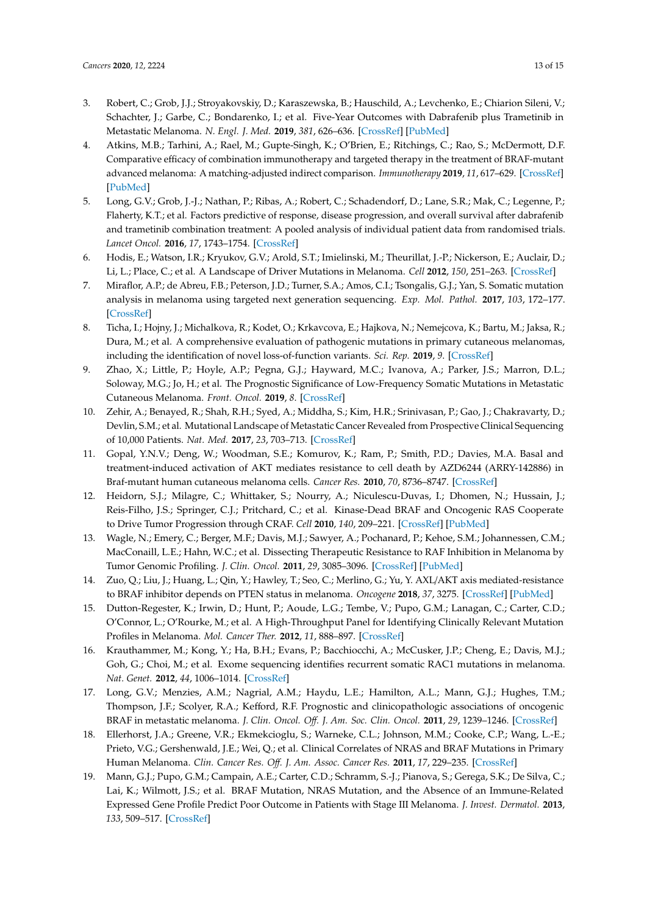- 3. Robert, C.; Grob, J.J.; Stroyakovskiy, D.; Karaszewska, B.; Hauschild, A.; Levchenko, E.; Chiarion Sileni, V.; Schachter, J.; Garbe, C.; Bondarenko, I.; et al. Five-Year Outcomes with Dabrafenib plus Trametinib in Metastatic Melanoma. *N. Engl. J. Med.* **2019**, *381*, 626–636. [CrossRef] [PubMed]
- 4. Atkins, M.B.; Tarhini, A.; Rael, M.; Gupte-Singh, K.; O'Brien, E.; Ritchings, C.; Rao, S.; McDermott, D.F. Comparative efficacy of combination immunotherapy and targeted therapy in the treatment of BRAF-mutant advanced melanoma: A matching-adjusted indirect comparison. *Immunotherapy* **2019**, *11*, 617–629. [CrossRef] [PubMed]
- 5. Long, G.V.; Grob, J.-J.; Nathan, P.; Ribas, A.; Robert, C.; Schadendorf, D.; Lane, S.R.; Mak, C.; Legenne, P.; Flaherty, K.T.; et al. Factors predictive of response, disease progression, and overall survival after dabrafenib and trametinib combination treatment: A pooled analysis of individual patient data from randomised trials. *Lancet Oncol.* **2016**, *17*, 1743–1754. [CrossRef]
- 6. Hodis, E.; Watson, I.R.; Kryukov, G.V.; Arold, S.T.; Imielinski, M.; Theurillat, J.-P.; Nickerson, E.; Auclair, D.; Li, L.; Place, C.; et al. A Landscape of Driver Mutations in Melanoma. *Cell* **2012**, *150*, 251–263. [CrossRef]
- 7. Miraflor, A.P.; de Abreu, F.B.; Peterson, J.D.; Turner, S.A.; Amos, C.I.; Tsongalis, G.J.; Yan, S. Somatic mutation analysis in melanoma using targeted next generation sequencing. *Exp. Mol. Pathol.* **2017**, *103*, 172–177. [CrossRef]
- 8. Ticha, I.; Hojny, J.; Michalkova, R.; Kodet, O.; Krkavcova, E.; Hajkova, N.; Nemejcova, K.; Bartu, M.; Jaksa, R.; Dura, M.; et al. A comprehensive evaluation of pathogenic mutations in primary cutaneous melanomas, including the identification of novel loss-of-function variants. *Sci. Rep.* **2019**, *9*. [CrossRef]
- 9. Zhao, X.; Little, P.; Hoyle, A.P.; Pegna, G.J.; Hayward, M.C.; Ivanova, A.; Parker, J.S.; Marron, D.L.; Soloway, M.G.; Jo, H.; et al. The Prognostic Significance of Low-Frequency Somatic Mutations in Metastatic Cutaneous Melanoma. *Front. Oncol.* **2019**, *8*. [CrossRef]
- 10. Zehir, A.; Benayed, R.; Shah, R.H.; Syed, A.; Middha, S.; Kim, H.R.; Srinivasan, P.; Gao, J.; Chakravarty, D.; Devlin, S.M.; et al. Mutational Landscape of Metastatic Cancer Revealed from Prospective Clinical Sequencing of 10,000 Patients. *Nat. Med.* **2017**, *23*, 703–713. [CrossRef]
- 11. Gopal, Y.N.V.; Deng, W.; Woodman, S.E.; Komurov, K.; Ram, P.; Smith, P.D.; Davies, M.A. Basal and treatment-induced activation of AKT mediates resistance to cell death by AZD6244 (ARRY-142886) in Braf-mutant human cutaneous melanoma cells. *Cancer Res.* **2010**, *70*, 8736–8747. [CrossRef]
- 12. Heidorn, S.J.; Milagre, C.; Whittaker, S.; Nourry, A.; Niculescu-Duvas, I.; Dhomen, N.; Hussain, J.; Reis-Filho, J.S.; Springer, C.J.; Pritchard, C.; et al. Kinase-Dead BRAF and Oncogenic RAS Cooperate to Drive Tumor Progression through CRAF. *Cell* **2010**, *140*, 209–221. [CrossRef] [PubMed]
- 13. Wagle, N.; Emery, C.; Berger, M.F.; Davis, M.J.; Sawyer, A.; Pochanard, P.; Kehoe, S.M.; Johannessen, C.M.; MacConaill, L.E.; Hahn, W.C.; et al. Dissecting Therapeutic Resistance to RAF Inhibition in Melanoma by Tumor Genomic Profiling. *J. Clin. Oncol.* **2011**, *29*, 3085–3096. [CrossRef] [PubMed]
- 14. Zuo, Q.; Liu, J.; Huang, L.; Qin, Y.; Hawley, T.; Seo, C.; Merlino, G.; Yu, Y. AXL/AKT axis mediated-resistance to BRAF inhibitor depends on PTEN status in melanoma. *Oncogene* **2018**, *37*, 3275. [CrossRef] [PubMed]
- 15. Dutton-Regester, K.; Irwin, D.; Hunt, P.; Aoude, L.G.; Tembe, V.; Pupo, G.M.; Lanagan, C.; Carter, C.D.; O'Connor, L.; O'Rourke, M.; et al. A High-Throughput Panel for Identifying Clinically Relevant Mutation Profiles in Melanoma. *Mol. Cancer Ther.* **2012**, *11*, 888–897. [CrossRef]
- 16. Krauthammer, M.; Kong, Y.; Ha, B.H.; Evans, P.; Bacchiocchi, A.; McCusker, J.P.; Cheng, E.; Davis, M.J.; Goh, G.; Choi, M.; et al. Exome sequencing identifies recurrent somatic RAC1 mutations in melanoma. *Nat. Genet.* **2012**, *44*, 1006–1014. [CrossRef]
- 17. Long, G.V.; Menzies, A.M.; Nagrial, A.M.; Haydu, L.E.; Hamilton, A.L.; Mann, G.J.; Hughes, T.M.; Thompson, J.F.; Scolyer, R.A.; Kefford, R.F. Prognostic and clinicopathologic associations of oncogenic BRAF in metastatic melanoma. *J. Clin. Oncol. O*ff*. J. Am. Soc. Clin. Oncol.* **2011**, *29*, 1239–1246. [CrossRef]
- 18. Ellerhorst, J.A.; Greene, V.R.; Ekmekcioglu, S.; Warneke, C.L.; Johnson, M.M.; Cooke, C.P.; Wang, L.-E.; Prieto, V.G.; Gershenwald, J.E.; Wei, Q.; et al. Clinical Correlates of NRAS and BRAF Mutations in Primary Human Melanoma. *Clin. Cancer Res. O*ff*. J. Am. Assoc. Cancer Res.* **2011**, *17*, 229–235. [CrossRef]
- 19. Mann, G.J.; Pupo, G.M.; Campain, A.E.; Carter, C.D.; Schramm, S.-J.; Pianova, S.; Gerega, S.K.; De Silva, C.; Lai, K.; Wilmott, J.S.; et al. BRAF Mutation, NRAS Mutation, and the Absence of an Immune-Related Expressed Gene Profile Predict Poor Outcome in Patients with Stage III Melanoma. *J. Invest. Dermatol.* **2013**, *133*, 509–517. [CrossRef]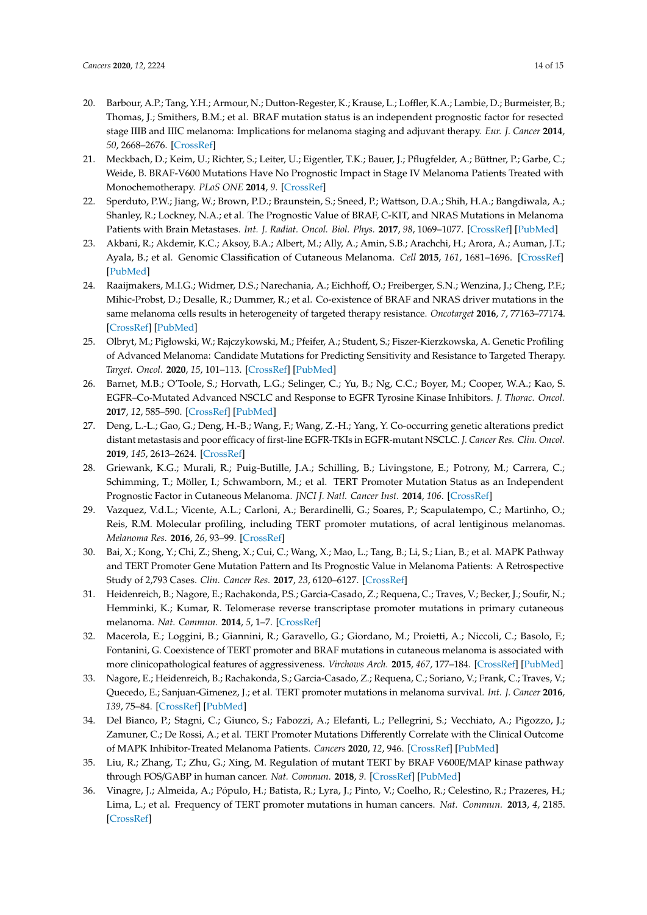- 20. Barbour, A.P.; Tang, Y.H.; Armour, N.; Dutton-Regester, K.; Krause, L.; Loffler, K.A.; Lambie, D.; Burmeister, B.; Thomas, J.; Smithers, B.M.; et al. BRAF mutation status is an independent prognostic factor for resected stage IIIB and IIIC melanoma: Implications for melanoma staging and adjuvant therapy. *Eur. J. Cancer* **2014**, *50*, 2668–2676. [CrossRef]
- 21. Meckbach, D.; Keim, U.; Richter, S.; Leiter, U.; Eigentler, T.K.; Bauer, J.; Pflugfelder, A.; Büttner, P.; Garbe, C.; Weide, B. BRAF-V600 Mutations Have No Prognostic Impact in Stage IV Melanoma Patients Treated with Monochemotherapy. *PLoS ONE* **2014**, *9*. [CrossRef]
- 22. Sperduto, P.W.; Jiang, W.; Brown, P.D.; Braunstein, S.; Sneed, P.; Wattson, D.A.; Shih, H.A.; Bangdiwala, A.; Shanley, R.; Lockney, N.A.; et al. The Prognostic Value of BRAF, C-KIT, and NRAS Mutations in Melanoma Patients with Brain Metastases. *Int. J. Radiat. Oncol. Biol. Phys.* **2017**, *98*, 1069–1077. [CrossRef] [PubMed]
- 23. Akbani, R.; Akdemir, K.C.; Aksoy, B.A.; Albert, M.; Ally, A.; Amin, S.B.; Arachchi, H.; Arora, A.; Auman, J.T.; Ayala, B.; et al. Genomic Classification of Cutaneous Melanoma. *Cell* **2015**, *161*, 1681–1696. [CrossRef] [PubMed]
- 24. Raaijmakers, M.I.G.; Widmer, D.S.; Narechania, A.; Eichhoff, O.; Freiberger, S.N.; Wenzina, J.; Cheng, P.F.; Mihic-Probst, D.; Desalle, R.; Dummer, R.; et al. Co-existence of BRAF and NRAS driver mutations in the same melanoma cells results in heterogeneity of targeted therapy resistance. *Oncotarget* **2016**, *7*, 77163–77174. [CrossRef] [PubMed]
- 25. Olbryt, M.; Pigłowski, W.; Rajczykowski, M.; Pfeifer, A.; Student, S.; Fiszer-Kierzkowska, A. Genetic Profiling of Advanced Melanoma: Candidate Mutations for Predicting Sensitivity and Resistance to Targeted Therapy. *Target. Oncol.* **2020**, *15*, 101–113. [CrossRef] [PubMed]
- 26. Barnet, M.B.; O'Toole, S.; Horvath, L.G.; Selinger, C.; Yu, B.; Ng, C.C.; Boyer, M.; Cooper, W.A.; Kao, S. EGFR–Co-Mutated Advanced NSCLC and Response to EGFR Tyrosine Kinase Inhibitors. *J. Thorac. Oncol.* **2017**, *12*, 585–590. [CrossRef] [PubMed]
- 27. Deng, L.-L.; Gao, G.; Deng, H.-B.; Wang, F.; Wang, Z.-H.; Yang, Y. Co-occurring genetic alterations predict distant metastasis and poor efficacy of first-line EGFR-TKIs in EGFR-mutant NSCLC. *J. Cancer Res. Clin. Oncol.* **2019**, *145*, 2613–2624. [CrossRef]
- 28. Griewank, K.G.; Murali, R.; Puig-Butille, J.A.; Schilling, B.; Livingstone, E.; Potrony, M.; Carrera, C.; Schimming, T.; Möller, I.; Schwamborn, M.; et al. TERT Promoter Mutation Status as an Independent Prognostic Factor in Cutaneous Melanoma. *JNCI J. Natl. Cancer Inst.* **2014**, *106*. [CrossRef]
- 29. Vazquez, V.d.L.; Vicente, A.L.; Carloni, A.; Berardinelli, G.; Soares, P.; Scapulatempo, C.; Martinho, O.; Reis, R.M. Molecular profiling, including TERT promoter mutations, of acral lentiginous melanomas. *Melanoma Res.* **2016**, *26*, 93–99. [CrossRef]
- 30. Bai, X.; Kong, Y.; Chi, Z.; Sheng, X.; Cui, C.; Wang, X.; Mao, L.; Tang, B.; Li, S.; Lian, B.; et al. MAPK Pathway and TERT Promoter Gene Mutation Pattern and Its Prognostic Value in Melanoma Patients: A Retrospective Study of 2,793 Cases. *Clin. Cancer Res.* **2017**, *23*, 6120–6127. [CrossRef]
- 31. Heidenreich, B.; Nagore, E.; Rachakonda, P.S.; Garcia-Casado, Z.; Requena, C.; Traves, V.; Becker, J.; Soufir, N.; Hemminki, K.; Kumar, R. Telomerase reverse transcriptase promoter mutations in primary cutaneous melanoma. *Nat. Commun.* **2014**, *5*, 1–7. [CrossRef]
- 32. Macerola, E.; Loggini, B.; Giannini, R.; Garavello, G.; Giordano, M.; Proietti, A.; Niccoli, C.; Basolo, F.; Fontanini, G. Coexistence of TERT promoter and BRAF mutations in cutaneous melanoma is associated with more clinicopathological features of aggressiveness. *Virchows Arch.* **2015**, *467*, 177–184. [CrossRef] [PubMed]
- 33. Nagore, E.; Heidenreich, B.; Rachakonda, S.; Garcia-Casado, Z.; Requena, C.; Soriano, V.; Frank, C.; Traves, V.; Quecedo, E.; Sanjuan-Gimenez, J.; et al. TERT promoter mutations in melanoma survival. *Int. J. Cancer* **2016**, *139*, 75–84. [CrossRef] [PubMed]
- 34. Del Bianco, P.; Stagni, C.; Giunco, S.; Fabozzi, A.; Elefanti, L.; Pellegrini, S.; Vecchiato, A.; Pigozzo, J.; Zamuner, C.; De Rossi, A.; et al. TERT Promoter Mutations Differently Correlate with the Clinical Outcome of MAPK Inhibitor-Treated Melanoma Patients. *Cancers* **2020**, *12*, 946. [CrossRef] [PubMed]
- 35. Liu, R.; Zhang, T.; Zhu, G.; Xing, M. Regulation of mutant TERT by BRAF V600E/MAP kinase pathway through FOS/GABP in human cancer. *Nat. Commun.* **2018**, *9*. [CrossRef] [PubMed]
- 36. Vinagre, J.; Almeida, A.; Pópulo, H.; Batista, R.; Lyra, J.; Pinto, V.; Coelho, R.; Celestino, R.; Prazeres, H.; Lima, L.; et al. Frequency of TERT promoter mutations in human cancers. *Nat. Commun.* **2013**, *4*, 2185. [CrossRef]